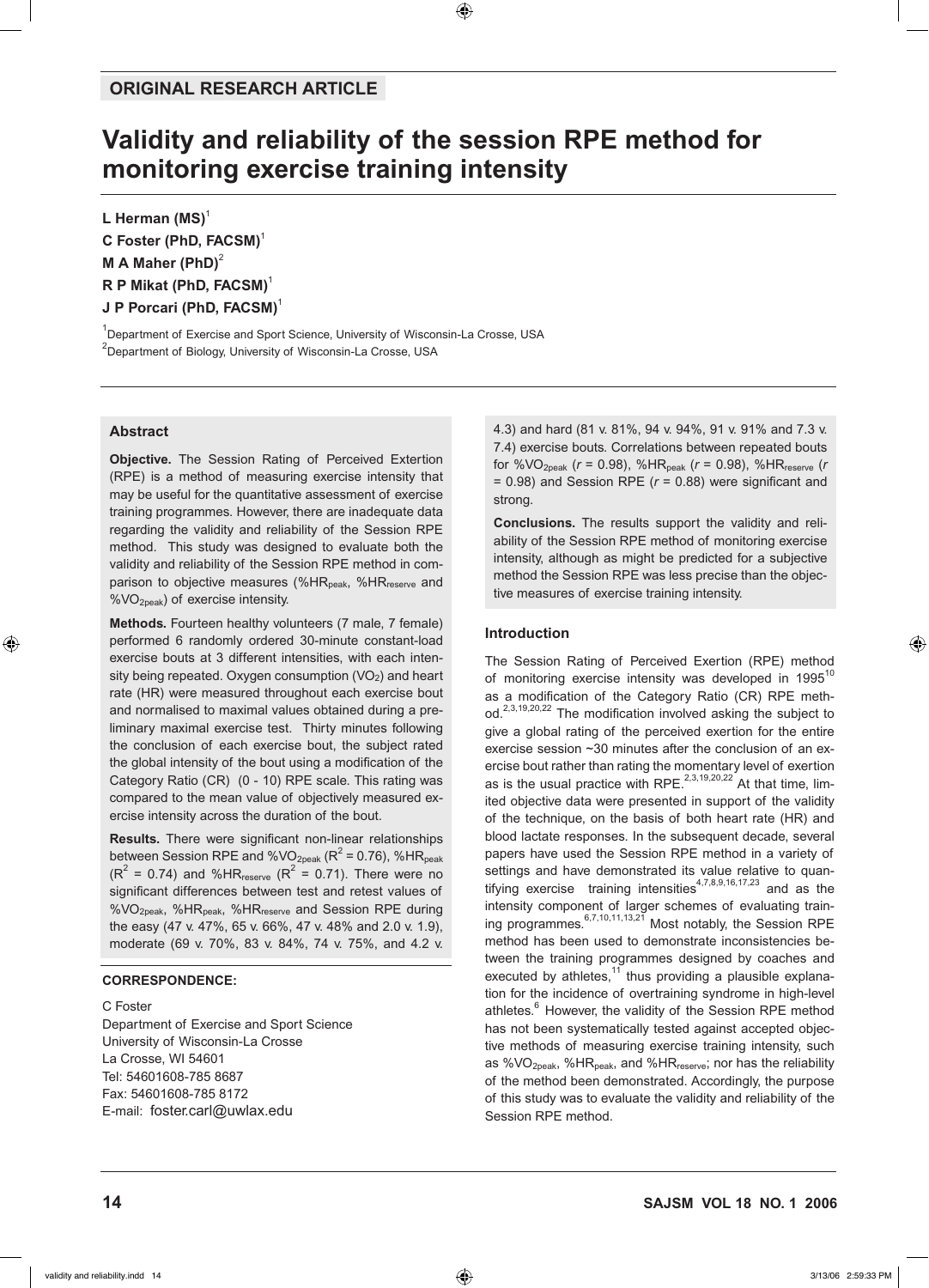# **Validity and reliability of the session RPE method for monitoring exercise training intensity**

L Herman **(MS)**<sup>1</sup> **C Foster (PhD, FACSM)**<sup>1</sup> **M A Maher (PhD)**<sup>2</sup> **R P Mikat (PhD, FACSM)**<sup>1</sup> **J P Porcari (PhD, FACSM)**<sup>1</sup>

<sup>1</sup>Department of Exercise and Sport Science, University of Wisconsin-La Crosse, USA  $^{2}$ Department of Biology, University of Wisconsin-La Crosse, USA

# **Abstract**

**Objective.** The Session Rating of Perceived Extertion (RPE) is a method of measuring exercise intensity that may be useful for the quantitative assessment of exercise training programmes. However, there are inadequate data regarding the validity and reliability of the Session RPE method. This study was designed to evaluate both the validity and reliability of the Session RPE method in comparison to objective measures (%HR<sub>peak</sub>, %HR<sub>reserve</sub> and %VO2peak) of exercise intensity.

**Methods.** Fourteen healthy volunteers (7 male, 7 female) performed 6 randomly ordered 30-minute constant-load exercise bouts at 3 different intensities, with each intensity being repeated. Oxygen consumption  $(VO<sub>2</sub>)$  and heart rate (HR) were measured throughout each exercise bout and normalised to maximal values obtained during a preliminary maximal exercise test. Thirty minutes following the conclusion of each exercise bout, the subject rated the global intensity of the bout using a modification of the Category Ratio (CR) (0 - 10) RPE scale. This rating was compared to the mean value of objectively measured exercise intensity across the duration of the bout.

**Results.** There were significant non-linear relationships between Session RPE and %VO $_{\rm 2peak}$  (R $^2$  = 0.76), %HR $_{\rm peak}$  $(R^2 = 0.74)$  and %HR<sub>reserve</sub>  $(R^2 = 0.71)$ . There were no significant differences between test and retest values of %VO2peak, %HRpeak, %HRreserve and Session RPE during the easy (47 v. 47%, 65 v. 66%, 47 v. 48% and 2.0 v. 1.9), moderate (69 v. 70%, 83 v. 84%, 74 v. 75%, and 4.2 v.

# **Correspondence:**

#### C Foster

Department of Exercise and Sport Science University of Wisconsin-La Crosse La Crosse, WI 54601 Tel: 54601608-785 8687 Fax: 54601608-785 8172 E-mail: foster.carl@uwlax.edu

4.3) and hard (81 v. 81%, 94 v. 94%, 91 v. 91% and 7.3 v. 7.4) exercise bouts. Correlations between repeated bouts for %VO<sub>2peak</sub> ( $r = 0.98$ ), %HR<sub>peak</sub> ( $r = 0.98$ ), %HR<sub>reserve</sub> ( $r = 0.98$ ) = 0.98) and Session RPE (*r* = 0.88) were significant and strong.

**Conclusions.** The results support the validity and reliability of the Session RPE method of monitoring exercise intensity, although as might be predicted for a subjective method the Session RPE was less precise than the objective measures of exercise training intensity.

# **Introduction**

The Session Rating of Perceived Exertion (RPE) method of monitoring exercise intensity was developed in  $1995^{10}$ as a modification of the Category Ratio (CR) RPE method.<sup>2,3,19,20,22</sup> The modification involved asking the subject to give a global rating of the perceived exertion for the entire exercise session ~30 minutes after the conclusion of an exercise bout rather than rating the momentary level of exertion as is the usual practice with RPE.<sup>2,3,19,20,22</sup> At that time, limited objective data were presented in support of the validity of the technique, on the basis of both heart rate (HR) and blood lactate responses. In the subsequent decade, several papers have used the Session RPE method in a variety of settings and have demonstrated its value relative to quantifying exercise training intensities<sup>4,7,8,9,16,17,23</sup> and as the intensity component of larger schemes of evaluating training programmes.6,7,10,11,13,21 Most notably, the Session RPE method has been used to demonstrate inconsistencies between the training programmes designed by coaches and executed by athletes, $11$  thus providing a plausible explanation for the incidence of overtraining syndrome in high-level athletes.<sup>6</sup> However, the validity of the Session RPE method has not been systematically tested against accepted objective methods of measuring exercise training intensity, such as %VO<sub>2peak</sub>, %HR<sub>peak</sub>, and %HR<sub>reserve</sub>; nor has the reliability of the method been demonstrated. Accordingly, the purpose of this study was to evaluate the validity and reliability of the Session RPE method.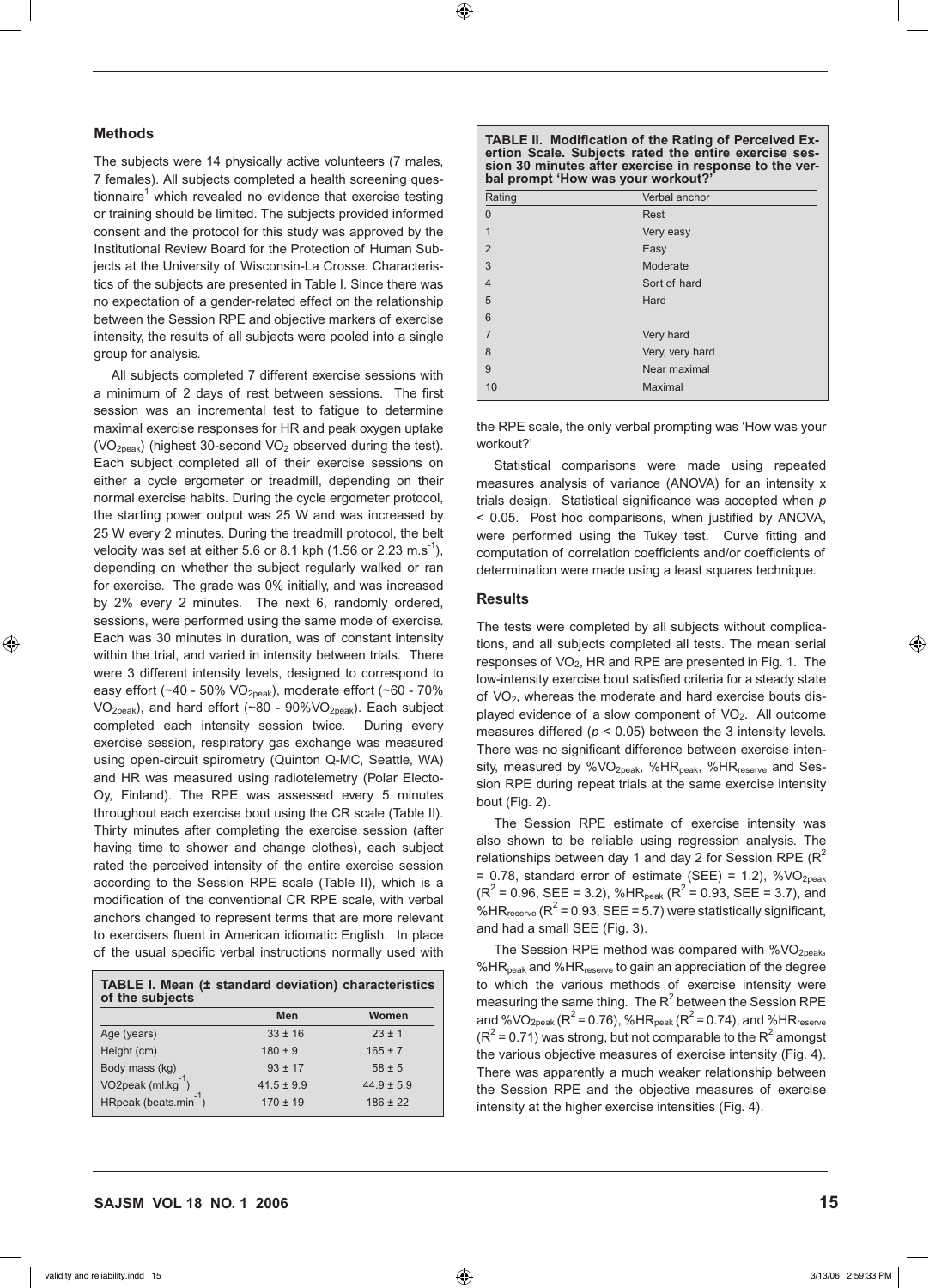# **Methods**

The subjects were 14 physically active volunteers (7 males, 7 females). All subjects completed a health screening questionnaire<sup>1</sup> which revealed no evidence that exercise testing or training should be limited. The subjects provided informed consent and the protocol for this study was approved by the Institutional Review Board for the Protection of Human Subjects at the University of Wisconsin-La Crosse. Characteristics of the subjects are presented in Table I. Since there was no expectation of a gender-related effect on the relationship between the Session RPE and objective markers of exercise intensity, the results of all subjects were pooled into a single group for analysis.

All subjects completed 7 different exercise sessions with a minimum of 2 days of rest between sessions. The first session was an incremental test to fatigue to determine maximal exercise responses for HR and peak oxygen uptake  $(VO<sub>2peak</sub>)$  (highest 30-second  $VO<sub>2</sub>$  observed during the test). Each subject completed all of their exercise sessions on either a cycle ergometer or treadmill, depending on their normal exercise habits. During the cycle ergometer protocol, the starting power output was 25 W and was increased by 25 W every 2 minutes. During the treadmill protocol, the belt velocity was set at either 5.6 or 8.1 kph (1.56 or 2.23 m.s<sup>-1</sup>), depending on whether the subject regularly walked or ran for exercise. The grade was 0% initially, and was increased by 2% every 2 minutes. The next 6, randomly ordered, sessions, were performed using the same mode of exercise. Each was 30 minutes in duration, was of constant intensity within the trial, and varied in intensity between trials. There were 3 different intensity levels, designed to correspond to easy effort (~40 - 50% VO<sub>2peak</sub>), moderate effort (~60 - 70% VO2peak), and hard effort (~80 - 90%VO2peak). Each subject completed each intensity session twice. During every exercise session, respiratory gas exchange was measured using open-circuit spirometry (Quinton Q-MC, Seattle, WA) and HR was measured using radiotelemetry (Polar Electo-Oy, Finland). The RPE was assessed every 5 minutes throughout each exercise bout using the CR scale (Table II). Thirty minutes after completing the exercise session (after having time to shower and change clothes), each subject rated the perceived intensity of the entire exercise session according to the Session RPE scale (Table II), which is a modification of the conventional CR RPE scale, with verbal anchors changed to represent terms that are more relevant to exercisers fluent in American idiomatic English. In place of the usual specific verbal instructions normally used with

| TABLE I. Mean (± standard deviation) characteristics<br>of the subjects |                |                |
|-------------------------------------------------------------------------|----------------|----------------|
|                                                                         | <b>Men</b>     | Women          |
| Age (years)                                                             | $33 \pm 16$    | $23 \pm 1$     |
| Height (cm)                                                             | $180 \pm 9$    | $165 \pm 7$    |
| Body mass (kg)                                                          | $93 \pm 17$    | $58 \pm 5$     |
| VO2peak (ml.kg                                                          | $41.5 \pm 9.9$ | $44.9 \pm 5.9$ |
| HRpeak (beats.min $^{-1}$ )                                             | $170 \pm 19$   | $186 \pm 22$   |

| <b>TABLE II. Modification of the Rating of Perceived Ex-</b> |  |  |  |
|--------------------------------------------------------------|--|--|--|
| ertion Scale. Subjects rated the entire exercise ses-        |  |  |  |
| sion 30 minutes after exercise in response to the ver-       |  |  |  |
| bal prompt 'How was your workout?'                           |  |  |  |

| Rating         | Verbal anchor   |
|----------------|-----------------|
| $\Omega$       | Rest            |
| $\mathbf 1$    | Very easy       |
| $\overline{2}$ | Easy            |
| 3              | Moderate        |
| $\overline{4}$ | Sort of hard    |
| 5              | Hard            |
| 6              |                 |
| $\overline{7}$ | Very hard       |
| 8              | Very, very hard |
| 9              | Near maximal    |
| 10             | Maximal         |

the RPE scale, the only verbal prompting was 'How was your workout?'

Statistical comparisons were made using repeated measures analysis of variance (ANOVA) for an intensity x trials design. Statistical significance was accepted when *p*  < 0.05. Post hoc comparisons, when justified by ANOVA, were performed using the Tukey test. Curve fitting and computation of correlation coefficients and/or coefficients of determination were made using a least squares technique.

#### **Results**

The tests were completed by all subjects without complications, and all subjects completed all tests. The mean serial responses of VO<sub>2</sub>, HR and RPE are presented in Fig. 1. The low-intensity exercise bout satisfied criteria for a steady state of VO<sub>2</sub>, whereas the moderate and hard exercise bouts displayed evidence of a slow component of  $VO<sub>2</sub>$ . All outcome measures differed ( $p < 0.05$ ) between the 3 intensity levels. There was no significant difference between exercise intensity, measured by %VO<sub>2peak</sub>, %HR<sub>peak</sub>, %HR<sub>reserve</sub> and Session RPE during repeat trials at the same exercise intensity bout (Fig. 2).

The Session RPE estimate of exercise intensity was also shown to be reliable using regression analysis. The relationships between day 1 and day 2 for Session RPE ( $R^2$  $= 0.78$ , standard error of estimate (SEE) = 1.2), %VO<sub>2peak</sub>  $(R^{2} = 0.96, SEE = 3.2), %HR<sub>peak</sub> (R^{2} = 0.93, SEE = 3.7), and$ %HR $_{\text{reserve}}$  (R<sup>2</sup> = 0.93, SEE = 5.7) were statistically significant, and had a small SEE (Fig. 3).

The Session RPE method was compared with  $%$ VO<sub>2peak</sub>, %HR<sub>peak</sub> and %HR $_{\text{reserve}}$  to gain an appreciation of the degree to which the various methods of exercise intensity were measuring the same thing. The  $R^2$  between the Session RPE and %VO<sub>2peak</sub> ( $R^2$  = 0.76), %HR<sub>peak</sub> ( $R^2$  = 0.74), and %HR<sub>reserve</sub>  $(R<sup>2</sup> = 0.71)$  was strong, but not comparable to the  $R<sup>2</sup>$  amongst the various objective measures of exercise intensity (Fig. 4). There was apparently a much weaker relationship between the Session RPE and the objective measures of exercise intensity at the higher exercise intensities (Fig. 4).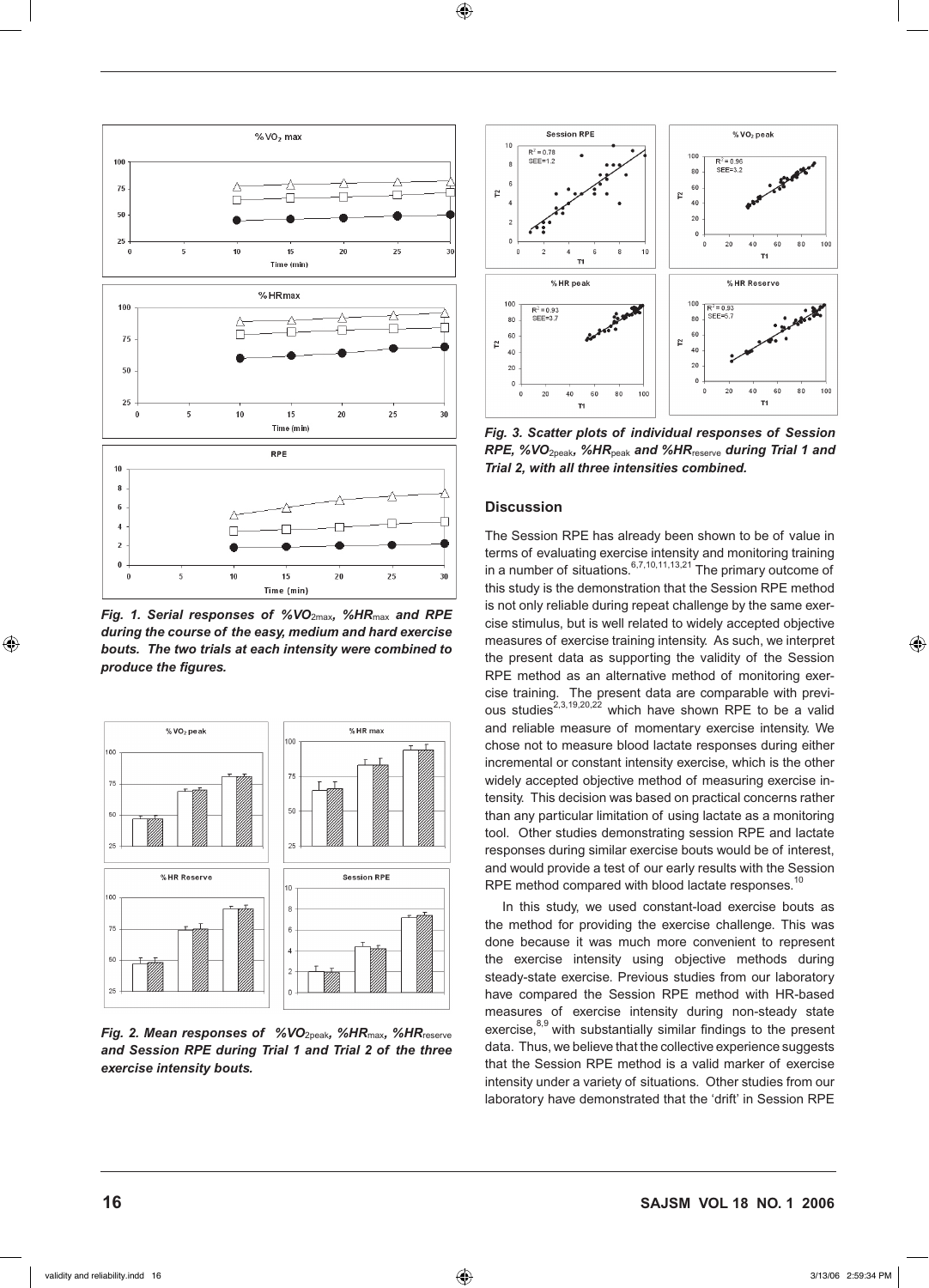

*Fig. 1. Serial responses of %VO*2max*, %HR*max *and RPE during the course of the easy, medium and hard exercise bouts. The two trials at each intensity were combined to produce the figures.* 



*Fig. 2. Mean responses of %VO*<sub>2peak</sub>, %HR<sub>max</sub>, %HR<sub>reserve</sub> *and Session RPE during Trial 1 and Trial 2 of the three exercise intensity bouts.*



*Fig. 3. Scatter plots of individual responses of Session RPE, %VO*2peak*, %HR*peak *and %HR*reserve *during Trial 1 and Trial 2, with all three intensities combined.* 

# **Discussion**

The Session RPE has already been shown to be of value in terms of evaluating exercise intensity and monitoring training in a number of situations. $6,7,10,11,13,21$  The primary outcome of this study is the demonstration that the Session RPE method is not only reliable during repeat challenge by the same exercise stimulus, but is well related to widely accepted objective measures of exercise training intensity. As such, we interpret the present data as supporting the validity of the Session RPE method as an alternative method of monitoring exercise training. The present data are comparable with previous studies<sup>2,3,19,20,22</sup> which have shown RPE to be a valid and reliable measure of momentary exercise intensity. We chose not to measure blood lactate responses during either incremental or constant intensity exercise, which is the other widely accepted objective method of measuring exercise intensity. This decision was based on practical concerns rather than any particular limitation of using lactate as a monitoring tool. Other studies demonstrating session RPE and lactate responses during similar exercise bouts would be of interest, and would provide a test of our early results with the Session RPE method compared with blood lactate responses.<sup>10</sup>

In this study, we used constant-load exercise bouts as the method for providing the exercise challenge. This was done because it was much more convenient to represent the exercise intensity using objective methods during steady-state exercise. Previous studies from our laboratory have compared the Session RPE method with HR-based measures of exercise intensity during non-steady state exercise,<sup>8,9</sup> with substantially similar findings to the present data. Thus, we believe that the collective experience suggests that the Session RPE method is a valid marker of exercise intensity under a variety of situations. Other studies from our laboratory have demonstrated that the 'drift' in Session RPE